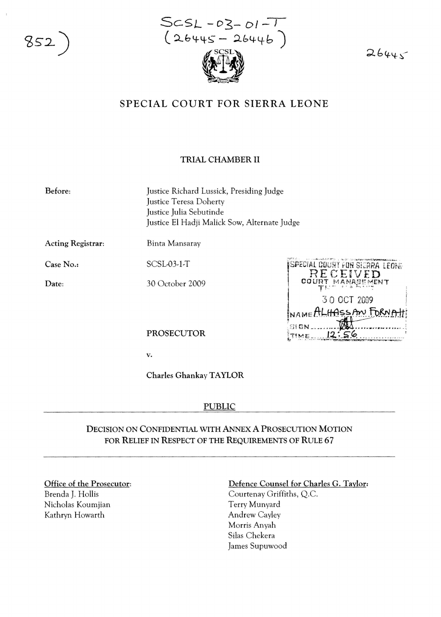852

 $ScSL - 03 - 01 - 1$  $(26445 - 26446)$ 

 $26445$ 

# SPECIAL COURT FOR SIERRA LEONE

### TRIAL CHAMBER II

Before:

Justice Richard Lussick, Presiding Judge Justice Teresa Doherty Justice Julia Sebutinde Justice £1 Hadji Malick Sow, Alternate Judge

Acting Registrar:

SCSL-03-1-T

Binta Mansaray

Case No.:

Date:

30 October 2009



PROSECUTOR

v.

Charles GhankayTAYLOR

#### PUBLIC

## DECISION ON CONFIDENTIAL WITH ANNEx A PROSECUTION MOTION FOR RELIEF IN RESPECT OF THE REQUIREMENTS OF RULE 67

Office of the Prosecutor:

Brenda J. Hollis Nicholas Koumjian Kathryn Howarth

#### Defence Counsel for Charles G. Taylor:

Courtenay Griffiths, Q.c. Terry Munyard Andrew Cayley Morris Anyah Silas Chekera James Supuwood